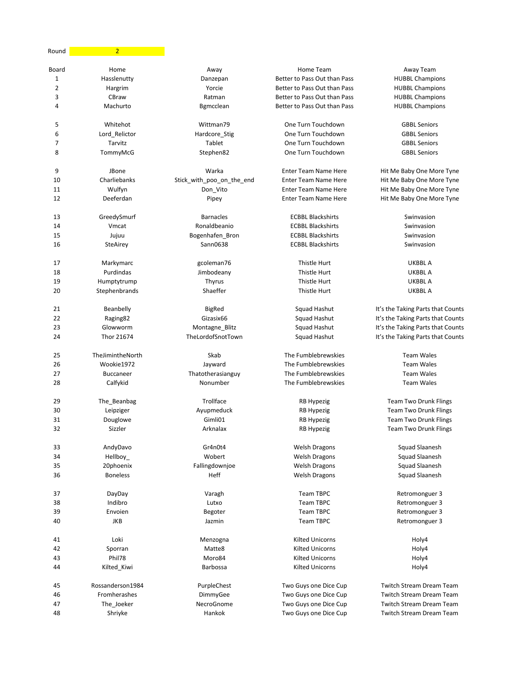| Round        | $\overline{2}$   |                           |                              |                                   |
|--------------|------------------|---------------------------|------------------------------|-----------------------------------|
| Board        | Home             | Away                      | Home Team                    | Away Team                         |
| $\mathbf{1}$ | Hasslenutty      | Danzepan                  | Better to Pass Out than Pass | <b>HUBBL Champions</b>            |
| 2            | Hargrim          | Yorcie                    | Better to Pass Out than Pass | <b>HUBBL Champions</b>            |
| 3            | CBraw            | Ratman                    | Better to Pass Out than Pass | <b>HUBBL Champions</b>            |
| 4            | Machurto         | <b>Bgmcclean</b>          | Better to Pass Out than Pass | <b>HUBBL Champions</b>            |
| 5            | Whitehot         | Wittman79                 | One Turn Touchdown           | <b>GBBL Seniors</b>               |
| 6            | Lord_Relictor    | Hardcore_Stig             | One Turn Touchdown           | <b>GBBL Seniors</b>               |
| 7            | Tarvitz          | Tablet                    | One Turn Touchdown           | <b>GBBL Seniors</b>               |
| 8            | TommyMcG         | Stephen82                 | One Turn Touchdown           | <b>GBBL Seniors</b>               |
| 9            | <b>JBone</b>     | Warka                     | <b>Enter Team Name Here</b>  | Hit Me Baby One More Tyne         |
| 10           | Charliebanks     | Stick_with_poo_on_the_end | <b>Enter Team Name Here</b>  | Hit Me Baby One More Tyne         |
| 11           | Wulfyn           | Don_Vito                  | <b>Enter Team Name Here</b>  | Hit Me Baby One More Tyne         |
| 12           | Deeferdan        | Pipey                     | <b>Enter Team Name Here</b>  | Hit Me Baby One More Tyne         |
| 13           | GreedySmurf      | <b>Barnacles</b>          | <b>ECBBL Blackshirts</b>     | Swinvasion                        |
| 14           | Vmcat            | Ronaldbeanio              | <b>ECBBL Blackshirts</b>     | Swinvasion                        |
| 15           | Jujuu            | Bogenhafen_Bron           | <b>ECBBL Blackshirts</b>     | Swinvasion                        |
| 16           | SteAirey         | Sann0638                  | <b>ECBBL Blackshirts</b>     | Swinvasion                        |
| 17           | Markymarc        | gcoleman76                | Thistle Hurt                 | <b>UKBBL A</b>                    |
| 18           | Purdindas        | Jimbodeany                | <b>Thistle Hurt</b>          | <b>UKBBL A</b>                    |
| 19           | Humptytrump      | <b>Thyrus</b>             | Thistle Hurt                 | <b>UKBBL A</b>                    |
| 20           | Stephenbrands    | Shaeffer                  | Thistle Hurt                 | UKBBL A                           |
| 21           | Beanbelly        | BigRed                    | Squad Hashut                 | It's the Taking Parts that Counts |
| 22           | Raging82         | Gizasix66                 | Squad Hashut                 | It's the Taking Parts that Counts |
| 23           | Glowworm         | Montagne_Blitz            | Squad Hashut                 | It's the Taking Parts that Counts |
| 24           | Thor 21674       | TheLordofSnotTown         | Squad Hashut                 | It's the Taking Parts that Counts |
| 25           | TheJimintheNorth | Skab                      | The Fumblebrewskies          | <b>Team Wales</b>                 |
| 26           | Wookie1972       | Jayward                   | The Fumblebrewskies          | <b>Team Wales</b>                 |
| 27           | <b>Buccaneer</b> | Thatotherasianguy         | The Fumblebrewskies          | <b>Team Wales</b>                 |
| 28           | Calfykid         | Nonumber                  | The Fumblebrewskies          | <b>Team Wales</b>                 |
| 29           | The_Beanbag      | Trollface                 | <b>RB Hypezig</b>            | <b>Team Two Drunk Flings</b>      |
| 30           | Leipziger        | Ayupmeduck                | <b>RB Hypezig</b>            | <b>Team Two Drunk Flings</b>      |
| 31           | Douglowe         | Gimli01                   | <b>RB Hypezig</b>            | <b>Team Two Drunk Flings</b>      |
| 32           | Sizzler          | Arknalax                  | <b>RB Hypezig</b>            | <b>Team Two Drunk Flings</b>      |
| 33           | AndyDavo         | Gr4n0t4                   | <b>Welsh Dragons</b>         | Squad Slaanesh                    |
| 34           | Hellboy_         | Wobert                    | <b>Welsh Dragons</b>         | Squad Slaanesh                    |
| 35           | 20phoenix        | Fallingdownjoe            | <b>Welsh Dragons</b>         | Squad Slaanesh                    |
| 36           | <b>Boneless</b>  | Heff                      | <b>Welsh Dragons</b>         | Squad Slaanesh                    |
| 37           | DayDay           | Varagh                    | <b>Team TBPC</b>             | Retromonguer 3                    |
| 38           | Indibro          | Lutxo                     | <b>Team TBPC</b>             | Retromonguer 3                    |
| 39           | Envoien          | Begoter                   | <b>Team TBPC</b>             | Retromonguer 3                    |
| 40           | JKB              | Jazmin                    | <b>Team TBPC</b>             | Retromonguer 3                    |
| 41           | Loki             | Menzogna                  | <b>Kilted Unicorns</b>       | Holy4                             |
| 42           | Sporran          | Matte8                    | <b>Kilted Unicorns</b>       | Holy4                             |
| 43           | Phil78           | Moro84                    | <b>Kilted Unicorns</b>       | Holy4                             |
| 44           | Kilted_Kiwi      | <b>Barbossa</b>           | <b>Kilted Unicorns</b>       | Holy4                             |
| 45           | Rossanderson1984 | PurpleChest               | Two Guys one Dice Cup        | <b>Twitch Stream Dream Team</b>   |
| 46           | Fromherashes     | DimmyGee                  | Two Guys one Dice Cup        | <b>Twitch Stream Dream Team</b>   |
| 47           | The_Joeker       | NecroGnome                | Two Guys one Dice Cup        | <b>Twitch Stream Dream Team</b>   |
| 48           | Shriyke          | Hankok                    | Two Guys one Dice Cup        | Twitch Stream Dream Team          |
|              |                  |                           |                              |                                   |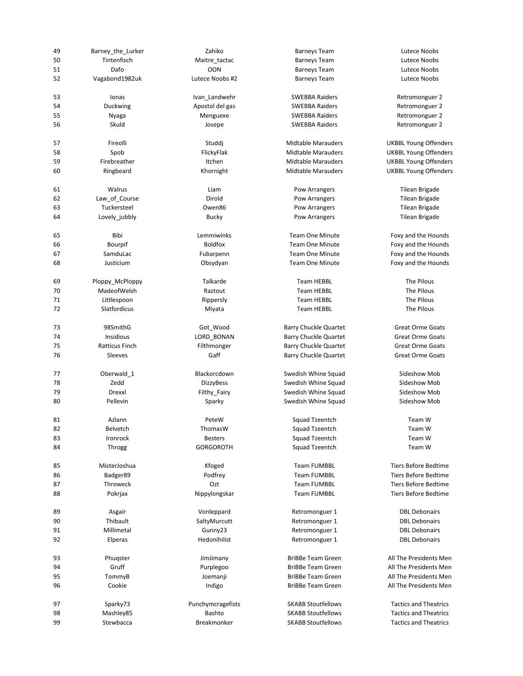| 49 | Barney_the_Lurker     | Zahiko            | <b>Barneys Team</b>       | Lutece Noobs                 |
|----|-----------------------|-------------------|---------------------------|------------------------------|
| 50 | Tintenfisch           | Maitre_tactac     | <b>Barneys Team</b>       | Lutece Noobs                 |
| 51 | Dafo                  | <b>OON</b>        | <b>Barneys Team</b>       | Lutece Noobs                 |
| 52 | Vagabond1982uk        | Lutece Noobs #2   | <b>Barneys Team</b>       | Lutece Noobs                 |
| 53 | Ionas                 | Ivan_Landwehr     | <b>SWEBBA Raiders</b>     | Retromonguer 2               |
| 54 | Duckwing              | Apostol del gas   | <b>SWEBBA Raiders</b>     | Retromonguer 2               |
| 55 | Nyaga                 | Menguexe          | <b>SWEBBA Raiders</b>     | Retromonguer 2               |
| 56 | Skuld                 | Josepe            | <b>SWEBBA Raiders</b>     | Retromonguer 2               |
| 57 | Fireolli              | Studdj            | <b>Midtable Marauders</b> | <b>UKBBL Young Offenders</b> |
| 58 | Spob                  | FlickyFlak        | <b>Midtable Marauders</b> | <b>UKBBL Young Offenders</b> |
| 59 | Firebreather          | Itchen            | <b>Midtable Marauders</b> | <b>UKBBL Young Offenders</b> |
|    |                       |                   | <b>Midtable Marauders</b> |                              |
| 60 | Ringbeard             | Khornight         |                           | <b>UKBBL Young Offenders</b> |
| 61 | Walrus                | Liam              | Pow Arrangers             | Tilean Brigade               |
| 62 | Law_of_Course         | Dirold            | Pow Arrangers             | Tilean Brigade               |
| 63 | Tuckersteel           | Owen86            | Pow Arrangers             | Tilean Brigade               |
| 64 | Lovely_jubbly         | <b>Bucky</b>      | Pow Arrangers             | Tilean Brigade               |
| 65 | Bibi                  | Lemmiwinks        | <b>Team One Minute</b>    | Foxy and the Hounds          |
| 66 | Bourpif               | <b>Boldfox</b>    | <b>Team One Minute</b>    | Foxy and the Hounds          |
| 67 | SamduLac              | Fubarpenn         | <b>Team One Minute</b>    | Foxy and the Hounds          |
| 68 | Justicium             | Obsydyan          | <b>Team One Minute</b>    | Foxy and the Hounds          |
| 69 | Ploppy_McPloppy       | Talkarde          | Team HEBBL                | The Pilous                   |
| 70 | MadeofWelsh           | Raztout           | <b>Team HEBBL</b>         | The Pilous                   |
| 71 | Littlespoon           | Rippersly         | <b>Team HEBBL</b>         | The Pilous                   |
| 72 | Slatfordicus          | Miyata            | <b>Team HEBBL</b>         | The Pilous                   |
| 73 | 98SmithG              | Got_Wood          | Barry Chuckle Quartet     | <b>Great Orme Goats</b>      |
| 74 | Insidious             | LORD_BONAN        | Barry Chuckle Quartet     | <b>Great Orme Goats</b>      |
| 75 | <b>Ratticus Finch</b> | Filthmonger       | Barry Chuckle Quartet     | <b>Great Orme Goats</b>      |
| 76 | Sleeves               | Gaff              | Barry Chuckle Quartet     | <b>Great Orme Goats</b>      |
| 77 | Oberwald_1            | Blackorcdown      | Swedish Whine Squad       | Sideshow Mob                 |
| 78 | Zedd                  | <b>DizzyBess</b>  | Swedish Whine Squad       | Sideshow Mob                 |
| 79 | Drexxl                | Filthy_Fairy      | Swedish Whine Squad       | Sideshow Mob                 |
| 80 | Pellevin              | Sparky            | Swedish Whine Squad       | Sideshow Mob                 |
|    |                       |                   |                           |                              |
| 81 | Azlann                | PeteW             | Squad Tzeentch            | Team W                       |
| 82 | Belvetch              | ThomasW           | Squad Tzeentch            | Team W                       |
| 83 | Ironrock              | <b>Besters</b>    | Squad Tzeentch            | Team W                       |
| 84 | Throgg                | <b>GORGOROTH</b>  | Squad Tzeentch            | Team W                       |
| 85 | MisterJoshua          | Kfoged            | <b>Team FUMBBL</b>        | Tiers Before Bedtime         |
| 86 | Badger89              | Podfrey           | <b>Team FUMBBL</b>        | <b>Tiers Before Bedtime</b>  |
| 87 | <b>Throweck</b>       | Ozt               | <b>Team FUMBBL</b>        | <b>Tiers Before Bedtime</b>  |
| 88 | Pokrjax               | Nippylongskar     | <b>Team FUMBBL</b>        | <b>Tiers Before Bedtime</b>  |
| 89 | Asgair                | Vonleppard        | Retromonguer 1            | <b>DBL Debonairs</b>         |
| 90 | Thibault              | SaltyMurcutt      | Retromonguer 1            | <b>DBL Debonairs</b>         |
| 91 | Millimetal            | Gunny23           | Retromonguer 1            | <b>DBL Debonairs</b>         |
| 92 | Elperas               | Hedonihilist      | Retromonguer 1            | <b>DBL Debonairs</b>         |
| 93 | Phugster              | JimJimany         | <b>BriBBe Team Green</b>  | All The Presidents Men       |
| 94 | Gruff                 | Purplegoo         | <b>BriBBe Team Green</b>  | All The Presidents Men       |
| 95 | TommyB                | Joemanji          | <b>BriBBe Team Green</b>  | All The Presidents Men       |
| 96 | Cookie                | Indigo            | <b>BriBBe Team Green</b>  | All The Presidents Men       |
| 97 | Sparky73              | Punchymcragefists | <b>SKABB Stoutfellows</b> | <b>Tactics and Theatrics</b> |
| 98 | Mashley85             | Bashto            | <b>SKABB Stoutfellows</b> | <b>Tactics and Theatrics</b> |
| 99 | Stewbacca             | Breakmonker       | <b>SKABB Stoutfellows</b> | <b>Tactics and Theatrics</b> |
|    |                       |                   |                           |                              |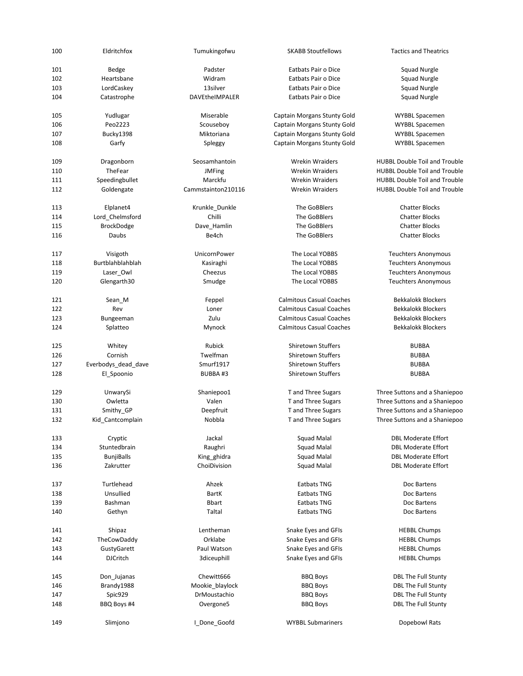|            | Eldritchfox                   | Tumukingofwu        | <b>SKABB Stoutfellows</b>                | <b>Tactics and Theatrics</b>                                   |
|------------|-------------------------------|---------------------|------------------------------------------|----------------------------------------------------------------|
| 101        | Bedge                         | Padster             | Eatbats Pair o Dice                      | Squad Nurgle                                                   |
| 102        | Heartsbane                    | Widram              | Eatbats Pair o Dice                      | Squad Nurgle                                                   |
| 103        | LordCaskey                    | 13silver            | Eatbats Pair o Dice                      | Squad Nurgle                                                   |
| 104        | Catastrophe                   | DAVEtheIMPALER      | Eatbats Pair o Dice                      | Squad Nurgle                                                   |
| 105        | Yudlugar                      | Miserable           | Captain Morgans Stunty Gold              | WYBBL Spacemen                                                 |
| 106        | Peo2223                       | Scouseboy           | Captain Morgans Stunty Gold              | <b>WYBBL Spacemen</b>                                          |
| 107        | Bucky1398                     | Miktoriana          | Captain Morgans Stunty Gold              | <b>WYBBL Spacemen</b>                                          |
| 108        | Garfy                         | Spleggy             | <b>Captain Morgans Stunty Gold</b>       | <b>WYBBL Spacemen</b>                                          |
| 109        | Dragonborn                    | Seosamhantoin       | <b>Wrekin Wraiders</b>                   | <b>HUBBL Double Toil and Trouble</b>                           |
| 110        | TheFear                       | <b>JMFing</b>       | <b>Wrekin Wraiders</b>                   | <b>HUBBL Double Toil and Trouble</b>                           |
| 111        | Speedingbullet                | Marckfu             | <b>Wrekin Wraiders</b>                   | <b>HUBBL Double Toil and Trouble</b>                           |
| 112        | Goldengate                    | Cammstainton210116  | <b>Wrekin Wraiders</b>                   | <b>HUBBL Double Toil and Trouble</b>                           |
| 113        | Elplanet4                     | Krunkle_Dunkle      | The GoBBlers                             | <b>Chatter Blocks</b>                                          |
| 114        | Lord_Chelmsford               | Chilli              | The GoBBlers                             | <b>Chatter Blocks</b>                                          |
| 115        | <b>BrockDodge</b>             | Dave_Hamlin         | The GoBBlers                             | <b>Chatter Blocks</b>                                          |
|            |                               |                     |                                          |                                                                |
| 116        | Daubs                         | Be4ch               | The GoBBlers                             | <b>Chatter Blocks</b>                                          |
| 117        | Visigoth                      | UnicornPower        | The Local YOBBS                          | <b>Teuchters Anonymous</b>                                     |
| 118        | Burtblahblahblah              | Kasiraghi           | The Local YOBBS                          | <b>Teuchters Anonymous</b>                                     |
| 119        | Laser_Owl                     | Cheezus             | The Local YOBBS                          | <b>Teuchters Anonymous</b>                                     |
| 120        | Glengarth30                   | Smudge              | The Local YOBBS                          | <b>Teuchters Anonymous</b>                                     |
| 121        | Sean_M                        | Feppel              | <b>Calmitous Casual Coaches</b>          | <b>Bekkalokk Blockers</b>                                      |
| 122        | Rev                           | Loner               | <b>Calmitous Casual Coaches</b>          | <b>Bekkalokk Blockers</b>                                      |
| 123        |                               | Zulu                | <b>Calmitous Casual Coaches</b>          | <b>Bekkalokk Blockers</b>                                      |
|            | Bungeeman                     |                     |                                          |                                                                |
| 124        | Splatteo                      | Mynock              | <b>Calmitous Casual Coaches</b>          | <b>Bekkalokk Blockers</b>                                      |
| 125        | Whitey                        | Rubick              | <b>Shiretown Stuffers</b>                | <b>BUBBA</b>                                                   |
| 126        | Cornish                       | Twelfman            | <b>Shiretown Stuffers</b>                | <b>BUBBA</b>                                                   |
|            |                               |                     |                                          |                                                                |
| 127        | Everbodys_dead_dave           | Smurf1917           | <b>Shiretown Stuffers</b>                | <b>BUBBA</b>                                                   |
| 128        | El_Spoonio                    | BUBBA#3             | <b>Shiretown Stuffers</b>                | <b>BUBBA</b>                                                   |
| 129        | UnwarySi                      | Shaniepoo1          | T and Three Sugars                       | Three Suttons and a Shaniepoo                                  |
|            | Owletta                       | Valen               |                                          |                                                                |
| 130        |                               |                     | T and Three Sugars                       | Three Suttons and a Shaniepoo                                  |
| 131<br>132 | Smithy_GP<br>Kid_Cantcomplain | Deepfruit<br>Nobbla | T and Three Sugars<br>T and Three Sugars | Three Suttons and a Shaniepoo<br>Three Suttons and a Shaniepoo |
|            |                               |                     |                                          |                                                                |
| 133        | Cryptic                       | Jackal              | Squad Malal                              | <b>DBL Moderate Effort</b>                                     |
| 134        | Stuntedbrain                  | Raughri             | <b>Squad Malal</b>                       | <b>DBL Moderate Effort</b>                                     |
| 135        | <b>BunjiBalls</b>             | King ghidra         | Squad Malal                              | <b>DBL Moderate Effort</b>                                     |
| 136        | Zakrutter                     | ChoiDivision        | <b>Squad Malal</b>                       | <b>DBL Moderate Effort</b>                                     |
| 137        | Turtlehead                    | Ahzek               | Eatbats TNG                              | Doc Bartens                                                    |
| 138        | Unsullied                     | <b>BartK</b>        | Eatbats TNG                              | Doc Bartens                                                    |
| 139        | Bashman                       | <b>Bbart</b>        | Eatbats TNG                              | Doc Bartens                                                    |
| 140        | Gethyn                        | Taltal              | Eatbats TNG                              | Doc Bartens                                                    |
|            |                               | Lentheman           |                                          |                                                                |
| 141        | Shipaz                        |                     | Snake Eyes and GFIs                      | <b>HEBBL Chumps</b>                                            |
| 142        | TheCowDaddy                   | Orklabe             | Snake Eyes and GFIs                      | <b>HEBBL Chumps</b>                                            |
| 143        | GustyGarett                   | Paul Watson         | Snake Eyes and GFIs                      | <b>HEBBL Chumps</b>                                            |
| 144        | <b>DJCritch</b>               | 3diceuphill         | Snake Eyes and GFIs                      | <b>HEBBL Chumps</b>                                            |
| 145        | Don_Jujanas                   | Chewitt666          | <b>BBQ Boys</b>                          | <b>DBL The Full Stunty</b>                                     |
| 146        | Brandy1988                    | Mookie_blaylock     | <b>BBQ Boys</b>                          | <b>DBL The Full Stunty</b>                                     |
| 147        | Spic929                       | DrMoustachio        | <b>BBQ Boys</b>                          | <b>DBL The Full Stunty</b>                                     |
| 148        | BBQ Boys #4                   | Overgone5           | <b>BBQ Boys</b>                          | <b>DBL The Full Stunty</b>                                     |